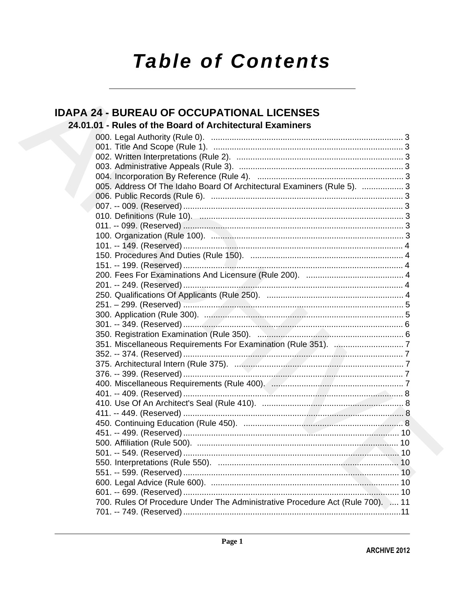# **Table of Contents**

# **IDAPA 24 - BUREAU OF OCCUPATIONAL LICENSES**

# 24.01.01 - Rules of the Board of Architectural Examiners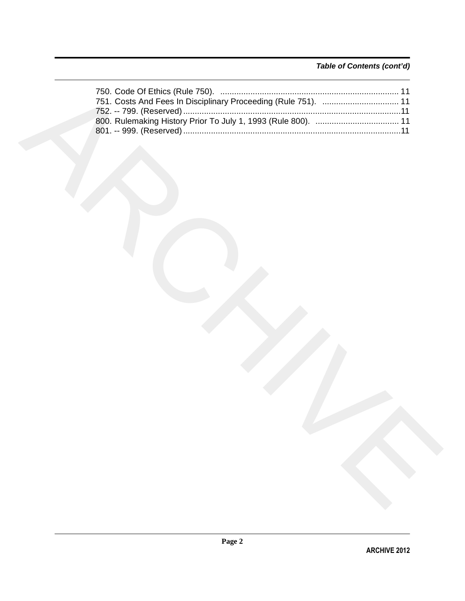## *Table of Contents (cont'd)*

| 751. Costs And Fees In Disciplinary Proceeding (Rule 751).  11 |
|----------------------------------------------------------------|
|                                                                |
|                                                                |
|                                                                |
|                                                                |
|                                                                |
|                                                                |
|                                                                |
|                                                                |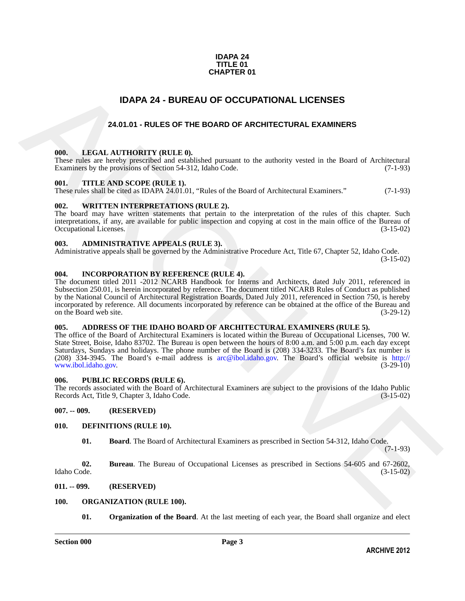#### **IDAPA 24 TITLE 01 CHAPTER 01**

## **IDAPA 24 - BUREAU OF OCCUPATIONAL LICENSES**

### **24.01.01 - RULES OF THE BOARD OF ARCHITECTURAL EXAMINERS**

#### <span id="page-2-2"></span><span id="page-2-1"></span>**000. LEGAL AUTHORITY (RULE 0).**

These rules are hereby prescribed and established pursuant to the authority vested in the Board of Architectural Examiners by the provisions of Section 54-312, Idaho Code. (7-1-93) Examiners by the provisions of Section 54-312, Idaho Code.

#### <span id="page-2-3"></span>**001. TITLE AND SCOPE (RULE 1).**

These rules shall be cited as IDAPA 24.01.01, "Rules of the Board of Architectural Examiners." (7-1-93)

#### <span id="page-2-4"></span>**002. WRITTEN INTERPRETATIONS (RULE 2).**

The board may have written statements that pertain to the interpretation of the rules of this chapter. Such interpretations, if any, are available for public inspection and copying at cost in the main office of the Bureau of Occupational Licenses. (3-15-02) Occupational Licenses.

#### <span id="page-2-5"></span>**003. ADMINISTRATIVE APPEALS (RULE 3).**

Administrative appeals shall be governed by the Administrative Procedure Act, Title 67, Chapter 52, Idaho Code.

(3-15-02)

#### <span id="page-2-6"></span>**004. INCORPORATION BY REFERENCE (RULE 4).**

<span id="page-2-0"></span>IDAPA 24 - BUREAU OF OCCUPATIONAL LICENSES<br>
24.01.01 - RULES OF THE BOARD OF ARCHITECTURAL EXAMINERS<br>
1990. LEGAL AUTHORITY (RILE B).<br>
1990. LEGAL AUTHORITY (RILE B).<br>
24.01.01 - RULES OF THE BOARD OF ARCHITECTURAL EXAMIN The document titled 2011 -2012 NCARB Handbook for Interns and Architects, dated July 2011, referenced in Subsection 250.01, is herein incorporated by reference. The document titled NCARB Rules of Conduct as published by the National Council of Architectural Registration Boards, Dated July 2011, referenced in Section 750, is hereby incorporated by reference. All documents incorporated by reference can be obtained at the office of the Bureau and on the Board web site.

#### <span id="page-2-7"></span>**005. ADDRESS OF THE IDAHO BOARD OF ARCHITECTURAL EXAMINERS (RULE 5).**

The office of the Board of Architectural Examiners is located within the Bureau of Occupational Licenses, 700 W. State Street, Boise, Idaho 83702. The Bureau is open between the hours of 8:00 a.m. and 5:00 p.m. each day except Saturdays, Sundays and holidays. The phone number of the Board is (208) 334-3233. The Board's fax number is (208) 334-3945. The Board's e-mail address is arc@ibol.idaho.gov. The Board's official website is http:// www.ibol.idaho.gov.

#### <span id="page-2-8"></span>**006. PUBLIC RECORDS (RULE 6).**

The records associated with the Board of Architectural Examiners are subject to the provisions of the Idaho Public Records Act, Title 9, Chapter 3, Idaho Code. (3-15-02)

<span id="page-2-9"></span>**007. -- 009. (RESERVED)**

#### <span id="page-2-10"></span>**010. DEFINITIONS (RULE 10).**

<span id="page-2-15"></span><span id="page-2-14"></span><span id="page-2-13"></span>**01. Board**. The Board of Architectural Examiners as prescribed in Section 54-312, Idaho Code.

(7-1-93)

**02.** Bureau. The Bureau of Occupational Licenses as prescribed in Sections 54-605 and 67-2602, Idaho Code. (3-15-02) Idaho Code. (3-15-02)

#### <span id="page-2-11"></span>**011. -- 099. (RESERVED)**

#### <span id="page-2-12"></span>**100. ORGANIZATION (RULE 100).**

<span id="page-2-17"></span><span id="page-2-16"></span>**01. Organization of the Board**. At the last meeting of each year, the Board shall organize and elect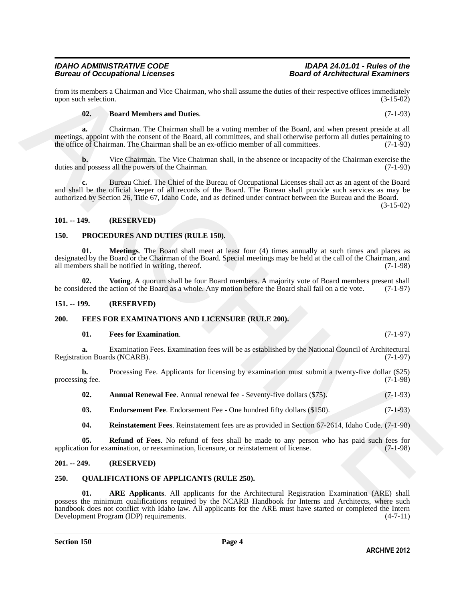from its members a Chairman and Vice Chairman, who shall assume the duties of their respective offices immediately<br>(3-15-02) (3-15-02) upon such selection.

#### <span id="page-3-12"></span>**02. Board Members and Duties**. (7-1-93)

**a.** Chairman. The Chairman shall be a voting member of the Board, and when present preside at all meetings, appoint with the consent of the Board, all committees, and shall otherwise perform all duties pertaining to the office of Chairman. The Chairman shall be an ex-officio member of all committees. (7-1-93)

Vice Chairman. The Vice Chairman shall, in the absence or incapacity of the Chairman exercise the sall the powers of the Chairman. duties and possess all the powers of the Chairman.

**c.** Bureau Chief. The Chief of the Bureau of Occupational Licenses shall act as an agent of the Board and shall be the official keeper of all records of the Board. The Bureau shall provide such services as may be authorized by Section 26, Title 67, Idaho Code, and as defined under contract between the Bureau and the Board.

(3-15-02)

#### <span id="page-3-0"></span>**101. -- 149. (RESERVED)**

#### <span id="page-3-14"></span><span id="page-3-13"></span><span id="page-3-1"></span>**150. PROCEDURES AND DUTIES (RULE 150).**

from its non-beatra at Charles and Dutke.<br>
Super nuch velocities, and Dutke.<br>
Super nuch velocities, and Dutke.<br>
(7-1-03)<br>
1947 Manuskan RD Dutke.<br>
2. Board Manuskan RD Dutke.<br>
2. Board Manuskan RD Dutke.<br>
2. Board Manusk **01. Meetings**. The Board shall meet at least four (4) times annually at such times and places as designated by the Board or the Chairman of the Board. Special meetings may be held at the call of the Chairman, and all members shall be notified in writing, thereof. (7-1-98) all members shall be notified in writing, thereof.

<span id="page-3-15"></span>**02.** Voting. A quorum shall be four Board members. A majority vote of Board members present shall dered the action of the Board as a whole. Any motion before the Board shall fail on a tie vote. (7-1-97) be considered the action of the Board as a whole. Any motion before the Board shall fail on a tie vote.

#### <span id="page-3-2"></span>**151. -- 199. (RESERVED)**

#### <span id="page-3-3"></span>**200. FEES FOR EXAMINATIONS AND LICENSURE (RULE 200).**

#### <span id="page-3-9"></span><span id="page-3-6"></span>**01.** Fees for Examination. (7-1-97)

**a.** Examination Fees. Examination fees will be as established by the National Council of Architectural Registration Boards (NCARB). (7-1-97)

**b.** Processing Fee. Applicants for licensing by examination must submit a twenty-five dollar (\$25) processing fee. (7-1-98)

<span id="page-3-8"></span><span id="page-3-7"></span>**02.** Annual Renewal Fee. Annual renewal fee - Seventy-five dollars (\$75). (7-1-93)

**03.** Endorsement Fee. Endorsement Fee - One hundred fifty dollars (\$150). (7-1-93)

<span id="page-3-11"></span><span id="page-3-10"></span>**04. Reinstatement Fees**. Reinstatement fees are as provided in Section 67-2614, Idaho Code. (7-1-98)

**05. Refund of Fees**. No refund of fees shall be made to any person who has paid such fees for application for examination, or reexamination, licensure, or reinstatement of license. (7-1-98)

#### <span id="page-3-4"></span>**201. -- 249. (RESERVED)**

#### <span id="page-3-16"></span><span id="page-3-5"></span>**250. QUALIFICATIONS OF APPLICANTS (RULE 250).**

<span id="page-3-17"></span>**01. ARE Applicants**. All applicants for the Architectural Registration Examination (ARE) shall possess the minimum qualifications required by the NCARB Handbook for Interns and Architects, where such handbook does not conflict with Idaho law. All applicants for the ARE must have started or completed the Intern<br>Development Program (IDP) requirements. (4-7-11) Development Program (IDP) requirements.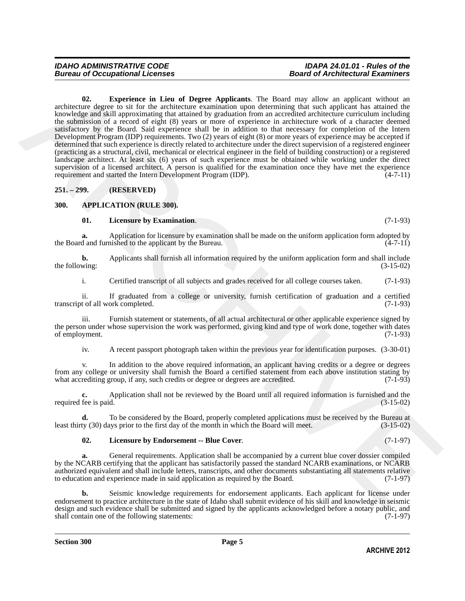#### <span id="page-4-5"></span>*IDAHO ADMINISTRATIVE CODE IDAPA 24.01.01 - Rules of the Bureau of Occupational Licenses*

and the system in Lieu of Degree Applicants. The fluore are projection with an accepted to the system of the transformation of the accepted to the system in the system of the system in the system in the system in the syst **02. Experience in Lieu of Degree Applicants**. The Board may allow an applicant without an architecture degree to sit for the architecture examination upon determining that such applicant has attained the knowledge and skill approximating that attained by graduation from an accredited architecture curriculum including the submission of a record of eight (8) years or more of experience in architecture work of a character deemed satisfactory by the Board. Said experience shall be in addition to that necessary for completion of the Intern Development Program (IDP) requirements. Two (2) years of eight (8) or more years of experience may be accepted if determined that such experience is directly related to architecture under the direct supervision of a registered engineer (practicing as a structural, civil, mechanical or electrical engineer in the field of building construction) or a registered landscape architect. At least six (6) years of such experience must be obtained while working under the direct supervision of a licensed architect. A person is qualified for the examination once they have met the experience requirement and started the Intern Development Program (IDP). (4-7-11) requirement and started the Intern Development Program (IDP).

<span id="page-4-0"></span>**251. – 299. (RESERVED)**

#### <span id="page-4-1"></span>**300. APPLICATION (RULE 300).**

#### <span id="page-4-4"></span><span id="page-4-2"></span>**01. Licensure by Examination**. (7-1-93)

**a.** Application for licensure by examination shall be made on the uniform application form adopted by d and furnished to the applicant by the Bureau. (4-7-11) the Board and furnished to the applicant by the Bureau.

**b.** Applicants shall furnish all information required by the uniform application form and shall include wing: (3-15-02) the following:

i. Certified transcript of all subjects and grades received for all college courses taken. (7-1-93)

ii. If graduated from a college or university, furnish certification of graduation and a certified transcript of all work completed.

iii. Furnish statement or statements, of all actual architectural or other applicable experience signed by the person under whose supervision the work was performed, giving kind and type of work done, together with dates of employment. (7-1-93) of employment.

iv. A recent passport photograph taken within the previous year for identification purposes. (3-30-01)

v. In addition to the above required information, an applicant having credits or a degree or degrees from any college or university shall furnish the Board a certified statement from each above institution stating by what accrediting group, if any, such credits or degree or degrees are accredited. (7-1-93)

**c.** Application shall not be reviewed by the Board until all required information is furnished and the required fee is paid. (3-15-02)

**d.** To be considered by the Board, properly completed applications must be received by the Bureau at ty (30) days prior to the first day of the month in which the Board will meet. (3-15-02) least thirty (30) days prior to the first day of the month in which the Board will meet.

#### <span id="page-4-3"></span>**02. Licensure by Endorsement -- Blue Cover**. (7-1-97)

**a.** General requirements. Application shall be accompanied by a current blue cover dossier compiled by the NCARB certifying that the applicant has satisfactorily passed the standard NCARB examinations, or NCARB authorized equivalent and shall include letters, transcripts, and other documents substantiating all statements relative to education and experience made in said application as required by the Board. (7-1-97)

**b.** Seismic knowledge requirements for endorsement applicants. Each applicant for license under endorsement to practice architecture in the state of Idaho shall submit evidence of his skill and knowledge in seismic design and such evidence shall be submitted and signed by the applicants acknowledged before a notary public, and shall contain one of the following statements: (7-1-97) shall contain one of the following statements: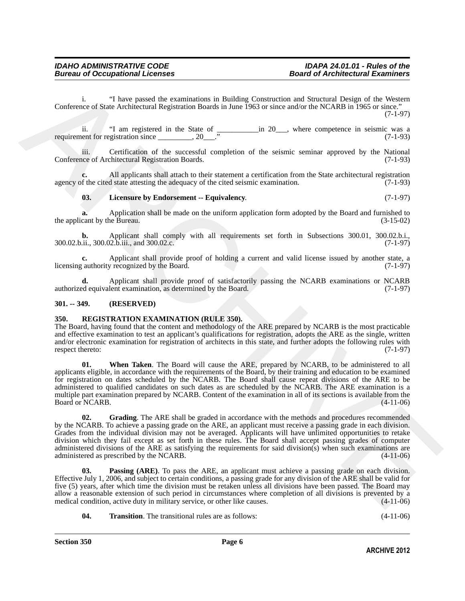i. "I have passed the examinations in Building Construction and Structural Design of the Western Conference of State Architectural Registration Boards in June 1963 or since and/or the NCARB in 1965 or since." (7-1-97)

ii. "I am registered in the State of \_\_\_\_\_\_\_\_\_\_\_in 20\_\_\_, where competence in seismic was a requirement for registration since  $\frac{1}{2}$ , 20 $\frac{1}{2}$ .  $\frac{1}{2}$  (7-1-93)

iii. Certification of the successful completion of the seismic seminar approved by the National Conference of Architectural Registration Boards. (7-1-93)

**c.** All applicants shall attach to their statement a certification from the State architectural registration of the cited state attesting the adequacy of the cited seismic examination. (7-1-93) agency of the cited state attesting the adequacy of the cited seismic examination.

#### <span id="page-5-2"></span>**03. Licensure by Endorsement -- Equivalency**. (7-1-97)

**a.** Application shall be made on the uniform application form adopted by the Board and furnished to cant by the Bureau. (3-15-02) the applicant by the Bureau.

**b.** Applicant shall comply with all requirements set forth in Subsections 300.01, 300.02.b.i., 300.02.b.ii., 300.02.b.iii., and 300.02.c. (7-1-97)

**c.** Applicant shall provide proof of holding a current and valid license issued by another state, a cauthority recognized by the Board. (7-1-97) licensing authority recognized by the Board.

**d.** Applicant shall provide proof of satisfactorily passing the NCARB examinations or NCARB ed equivalent examination, as determined by the Board. (7-1-97) authorized equivalent examination, as determined by the Board.

#### <span id="page-5-0"></span>**301. -- 349. (RESERVED)**

#### <span id="page-5-3"></span><span id="page-5-1"></span>**350. REGISTRATION EXAMINATION (RULE 350).**

<span id="page-5-7"></span>The Board, having found that the content and methodology of the ARE prepared by NCARB is the most practicable and effective examination to test an applicant's qualifications for registration, adopts the ARE as the single, written and/or electronic examination for registration of architects in this state, and further adopts the following rules with respect thereto: (7-1-97) respect thereto:

Confession of Share metallic contribution in Bubble Constraints and Structural Design of de Western<br>Confession of Share Architecture in the Structure and Structure and Structure and Structure and Structure and Structure a **01. When Taken**. The Board will cause the ARE, prepared by NCARB, to be administered to all applicants eligible, in accordance with the requirements of the Board, by their training and education to be examined for registration on dates scheduled by the NCARB. The Board shall cause repeat divisions of the ARE to be administered to qualified candidates on such dates as are scheduled by the NCARB. The ARE examination is a multiple part examination prepared by NCARB. Content of the examination in all of its sections is available from the Board or NCARB. (4-11-06)

<span id="page-5-4"></span>**02. Grading**. The ARE shall be graded in accordance with the methods and procedures recommended by the NCARB. To achieve a passing grade on the ARE, an applicant must receive a passing grade in each division. Grades from the individual division may not be averaged. Applicants will have unlimited opportunities to retake division which they fail except as set forth in these rules. The Board shall accept passing grades of computer administered divisions of the ARE as satisfying the requirements for said division(s) when such examinations are administered as prescribed by the NCARB. (4-11-06)

<span id="page-5-5"></span>**03. Passing (ARE)**. To pass the ARE, an applicant must achieve a passing grade on each division. Effective July 1, 2006, and subject to certain conditions, a passing grade for any division of the ARE shall be valid for five (5) years, after which time the division must be retaken unless all divisions have been passed. The Board may allow a reasonable extension of such period in circumstances where completion of all divisions is prevented by a medical condition, active duty in military service, or other like causes. (4-11-06) medical condition, active duty in military service, or other like causes.

<span id="page-5-6"></span>**04.** Transition. The transitional rules are as follows:  $(4-11-06)$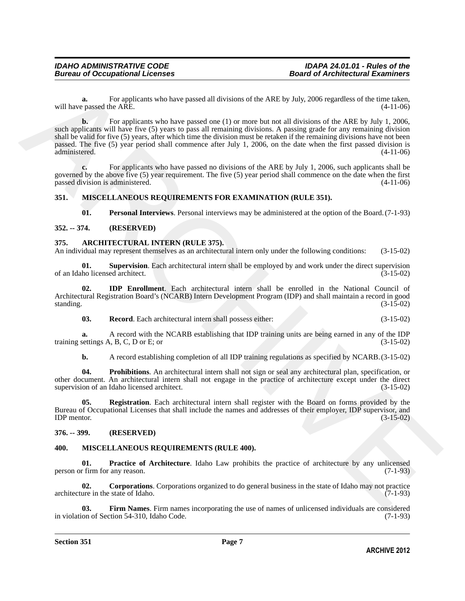**a.** For applicants who have passed all divisions of the ARE by July, 2006 regardless of the time taken, proposed the ARE.  $(4-11-06)$ will have passed the ARE.

will have passed by a street of the anti-term of the ART-by July, 2006 regardless of the time rates,<br>
which he ARCHIVE control that the street of the commutes of the time of the ART-by July 1, 2006,<br>
and a physicial appli **b.** For applicants who have passed one (1) or more but not all divisions of the ARE by July 1, 2006, such applicants will have five (5) years to pass all remaining divisions. A passing grade for any remaining division shall be valid for five (5) years, after which time the division must be retaken if the remaining divisions have not been passed. The five (5) year period shall commence after July 1, 2006, on the date when the first passed division is administered. (4-11-06) administered. (4-11-06)

**c.** For applicants who have passed no divisions of the ARE by July 1, 2006, such applicants shall be governed by the above five (5) year requirement. The five (5) year period shall commence on the date when the first passed division is administered. (4-11-06) passed division is administered.

#### <span id="page-6-0"></span>**351. MISCELLANEOUS REQUIREMENTS FOR EXAMINATION (RULE 351).**

<span id="page-6-16"></span><span id="page-6-15"></span><span id="page-6-10"></span><span id="page-6-5"></span>**01. Personal Interviews**. Personal interviews may be administered at the option of the Board.(7-1-93)

#### <span id="page-6-1"></span>**352. -- 374. (RESERVED)**

#### <span id="page-6-2"></span>**375. ARCHITECTURAL INTERN (RULE 375).**

An individual may represent themselves as an architectural intern only under the following conditions: (3-15-02)

**01. Supervision**. Each architectural intern shall be employed by and work under the direct supervision of an Idaho licensed architect. (3-15-02)

**02. IDP Enrollment**. Each architectural intern shall be enrolled in the National Council of Architectural Registration Board's (NCARB) Intern Development Program (IDP) and shall maintain a record in good standing. (3-15-02)

<span id="page-6-8"></span><span id="page-6-6"></span>**03. Record**. Each architectural intern shall possess either: (3-15-02)

**a.** A record with the NCARB establishing that IDP training units are being earned in any of the IDP training settings  $A, B, C, D$  or E; or (3-15-02)

<span id="page-6-9"></span><span id="page-6-7"></span>**b.** A record establishing completion of all IDP training regulations as specified by NCARB. (3-15-02)

**04. Prohibitions**. An architectural intern shall not sign or seal any architectural plan, specification, or other document. An architectural intern shall not engage in the practice of architecture except under the direct supervision of an Idaho licensed architect.

**05. Registration**. Each architectural intern shall register with the Board on forms provided by the Bureau of Occupational Licenses that shall include the names and addresses of their employer, IDP supervisor, and IDP mentor. (3-15-02)  $IDP$  mentor.  $(3-15-02)$ 

#### <span id="page-6-3"></span>**376. -- 399. (RESERVED)**

#### <span id="page-6-11"></span><span id="page-6-4"></span>**400. MISCELLANEOUS REQUIREMENTS (RULE 400).**

<span id="page-6-14"></span>**01. Practice of Architecture**. Idaho Law prohibits the practice of architecture by any unlicensed r firm for any reason. (7-1-93) person or firm for any reason.

<span id="page-6-12"></span>**02. Corporations**. Corporations organized to do general business in the state of Idaho may not practice ure in the state of Idaho. (7-1-93) architecture in the state of Idaho.

<span id="page-6-13"></span>**Firm Names**. Firm names incorporating the use of names of unlicensed individuals are considered tion 54-310, Idaho Code. (7-1-93) in violation of Section 54-310, Idaho Code.

#### **Section 351 Page 7**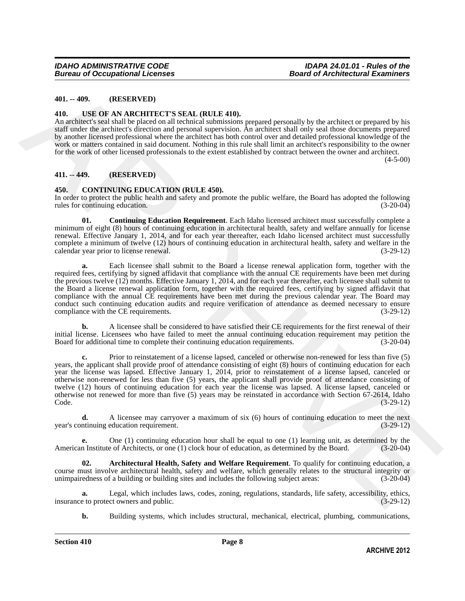#### <span id="page-7-0"></span>**401. -- 409. (RESERVED)**

#### <span id="page-7-7"></span><span id="page-7-1"></span>**410. USE OF AN ARCHITECT'S SEAL (RULE 410).**

An architect's seal shall be placed on all technical submissions prepared personally by the architect or prepared by his staff under the architect's direction and personal supervision. An architect shall only seal those documents prepared by another licensed professional where the architect has both control over and detailed professional knowledge of the work or matters contained in said document. Nothing in this rule shall limit an architect's responsibility to the owner for the work of other licensed professionals to the extent established by contract between the owner and architect. (4-5-00)

<span id="page-7-2"></span>**411. -- 449. (RESERVED)**

#### <span id="page-7-4"></span><span id="page-7-3"></span>**450. CONTINUING EDUCATION (RULE 450).**

In order to protect the public health and safety and promote the public welfare, the Board has adopted the following rules for continuing education. (3-20-04) rules for continuing education.

<span id="page-7-6"></span>**01. Continuing Education Requirement**. Each Idaho licensed architect must successfully complete a minimum of eight (8) hours of continuing education in architectural health, safety and welfare annually for license renewal. Effective January 1, 2014, and for each year thereafter, each Idaho licensed architect must successfully complete a minimum of twelve (12) hours of continuing education in architectural health, safety and welfare in the calendar vear prior to license renewal. calendar year prior to license renewal.

**401.** ... **409.** (RESERVED)<br> **440.** ... **CSE OF AN ARCHITE CTS SEAL: RULE 440.**<br>
An architective statistical velocity and the chiral ideotroids responsed personally by the architect or prepared by his<br>
40. Architect stat **a.** Each licensee shall submit to the Board a license renewal application form, together with the required fees, certifying by signed affidavit that compliance with the annual CE requirements have been met during the previous twelve (12) months. Effective January 1, 2014, and for each year thereafter, each licensee shall submit to the Board a license renewal application form, together with the required fees, certifying by signed affidavit that compliance with the annual CE requirements have been met during the previous calendar year. The Board may conduct such continuing education audits and require verification of attendance as deemed necessary to ensure<br>compliance with the CE requirements. (3-29-12) compliance with the CE requirements.

**b.** A licensee shall be considered to have satisfied their CE requirements for the first renewal of their initial license. Licensees who have failed to meet the annual continuing education requirement may petition the Board for additional time to complete their continuing education requirements. (3-20-04)

**c.** Prior to reinstatement of a license lapsed, canceled or otherwise non-renewed for less than five (5) years, the applicant shall provide proof of attendance consisting of eight (8) hours of continuing education for each year the license was lapsed. Effective January 1, 2014, prior to reinstatement of a license lapsed, canceled or otherwise non-renewed for less than five (5) years, the applicant shall provide proof of attendance consisting of twelve (12) hours of continuing education for each year the license was lapsed. A license lapsed, canceled or otherwise not renewed for more than five (5) years may be reinstated in accordance with Section 67-2614, Idaho Code. (3-29-12)

**d.** A licensee may carryover a maximum of six (6) hours of continuing education to meet the next ntinuing education requirement. (3-29-12) year's continuing education requirement.

**e.** One (1) continuing education hour shall be equal to one (1) learning unit, as determined by the American Institute of Architects, or one (1) clock hour of education, as determined by the Board. (3-20-04)

<span id="page-7-5"></span>**02. Architectural Health, Safety and Welfare Requirement**. To qualify for continuing education, a course must involve architectural health, safety and welfare, which generally relates to the structural integrity or unimpairedness of a building or building sites and includes the following subject areas: (3-20-04)

**a.** Legal, which includes laws, codes, zoning, regulations, standards, life safety, accessibility, ethics, eto protect owners and public. (3-29-12) insurance to protect owners and public.

**b.** Building systems, which includes structural, mechanical, electrical, plumbing, communications,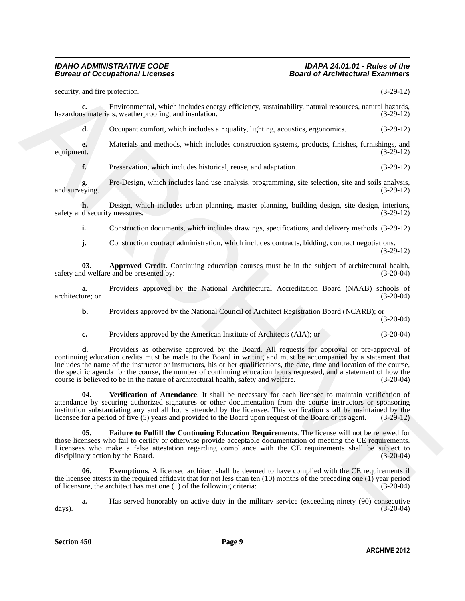#### *IDAHO ADMINISTRATIVE CODE IDAPA 24.01.01 - Rules of the Bureau of Occupational Licenses*

vectority, and five protection<br>
Annotesis Christmannenti, which includes energy efficiency, structurality, reduced textures, nurrality, and<br>
Annotesis and consider the consideration of the consideration of the considerati security, and fire protection. (3-29-12) **c.** Environmental, which includes energy efficiency, sustainability, natural resources, natural hazards, is materials, weatherproofing, and insulation. (3-29-12) hazardous materials, weatherproofing, and insulation. **d.** Occupant comfort, which includes air quality, lighting, acoustics, ergonomics. (3-29-12) **e.** Materials and methods, which includes construction systems, products, finishes, furnishings, and the (3-29-12) equipment. (3-29-12) **f.** Preservation, which includes historical, reuse, and adaptation. (3-29-12) **g.** Pre-Design, which includes land use analysis, programming, site selection, site and soils analysis, and surveying. **h.** Design, which includes urban planning, master planning, building design, site design, interiors, d security measures. (3-29-12) safety and security measures. **i.** Construction documents, which includes drawings, specifications, and delivery methods. (3-29-12) **j.** Construction contract administration, which includes contracts, bidding, contract negotiations. (3-29-12) **03. Approved Credit**. Continuing education courses must be in the subject of architectural health, safety and welfare and be presented by: (3-20-04) (3-20-04) **a.** Providers approved by the National Architectural Accreditation Board (NAAB) schools of ure; or (3-20-04) architecture; or **b.** Providers approved by the National Council of Architect Registration Board (NCARB); or (3-20-04) **c.** Providers approved by the American Institute of Architects (AIA); or (3-20-04) **d.** Providers as otherwise approved by the Board. All requests for approval or pre-approval of continuing education credits must be made to the Board in writing and must be accompanied by a statement that includes the name of the instructor or instructors, his or her qualifications, the date, time and location of the course, the specific agenda for the course, the number of continuing education hours requested, and a statement of how the course is believed to be in the nature of architectural health, safety and welfare. (3-20-04) **04. Verification of Attendance**. It shall be necessary for each licensee to maintain verification of attendance by securing authorized signatures or other documentation from the course instructors or sponsoring institution substantiating any and all hours attended by the licensee. This verification shall be maintained by the licensee for a period of five (5) years and provided to the Board upon request of the Board or its agent. licensee for a period of five (5) years and provided to the Board upon request of the Board or its agent.

<span id="page-8-3"></span><span id="page-8-2"></span><span id="page-8-0"></span>**05. Failure to Fulfill the Continuing Education Requirements**. The license will not be renewed for those licensees who fail to certify or otherwise provide acceptable documentation of meeting the CE requirements. Licensees who make a false attestation regarding compliance with the CE requirements shall be subject to disciplinary action by the Board. (3-20-04)

<span id="page-8-1"></span>**06.** Exemptions. A licensed architect shall be deemed to have complied with the CE requirements if the licensee attests in the required affidavit that for not less than ten  $(10)$  months of the preceding one  $(1)$  year period of licensure, the architect has met one  $(1)$  of the following criteria:  $(3\n-20\n-04)$ of licensure, the architect has met one  $(1)$  of the following criteria:

**a.** Has served honorably on active duty in the military service (exceeding ninety (90) consecutive (3-20-04) days). (3-20-04)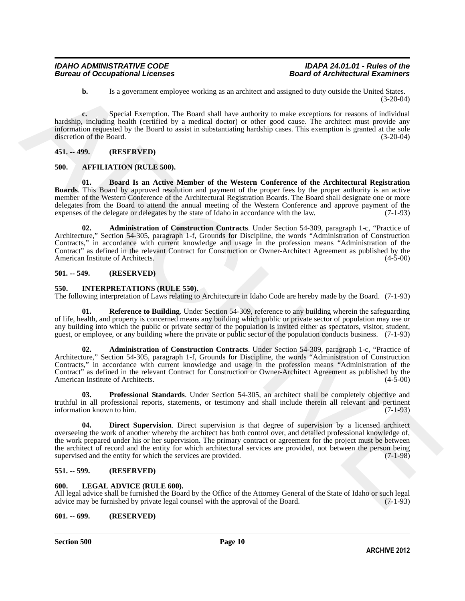**b.** Is a government employee working as an architect and assigned to duty outside the United States. (3-20-04)

**c.** Special Exemption. The Board shall have authority to make exceptions for reasons of individual hardship, including health (certified by a medical doctor) or other good cause. The architect must provide any information requested by the Board to assist in substantiating hardship cases. This exemption is granted at the sole discretion of the Board.

#### <span id="page-9-7"></span><span id="page-9-0"></span>**451. -- 499. (RESERVED)**

#### <span id="page-9-1"></span>**500. AFFILIATION (RULE 500).**

<span id="page-9-9"></span><span id="page-9-8"></span>**01. Board Is an Active Member of the Western Conference of the Architectural Registration Boards**. This Board by approved resolution and payment of the proper fees by the proper authority is an active member of the Western Conference of the Architectural Registration Boards. The Board shall designate one or more delegates from the Board to attend the annual meeting of the Western Conference and approve payment of the expenses of the delegate or delegates by the state of Idaho in accordance with the law. (7-1-93) expenses of the delegate or delegates by the state of Idaho in accordance with the law.

**1.** Is a government employee scating as a mething and are ligned to dany one identified to United States.<br> **ARCHIVE SECOND INTERFERIENCE CONSULATION** (and large candidal second production and individual methinds and inte **02. Administration of Construction Contracts**. Under Section 54-309, paragraph 1-c, "Practice of Architecture," Section 54-305, paragraph 1-f, Grounds for Discipline, the words "Administration of Construction Contracts," in accordance with current knowledge and usage in the profession means "Administration of the Contract" as defined in the relevant Contract for Construction or Owner-Architect Agreement as published by the American Institute of Architects.

#### <span id="page-9-2"></span>**501. -- 549. (RESERVED)**

#### <span id="page-9-10"></span><span id="page-9-3"></span>**550. INTERPRETATIONS (RULE 550).**

The following interpretation of Laws relating to Architecture in Idaho Code are hereby made by the Board. (7-1-93)

<span id="page-9-14"></span>**01. Reference to Building**. Under Section 54-309, reference to any building wherein the safeguarding of life, health, and property is concerned means any building which public or private sector of population may use or any building into which the public or private sector of the population is invited either as spectators, visitor, student, guest, or employee, or any building where the private or public sector of the population conducts business. (7-1-93)

<span id="page-9-11"></span>**02. Administration of Construction Contracts**. Under Section 54-309, paragraph 1-c, "Practice of Architecture," Section 54-305, paragraph 1-f, Grounds for Discipline, the words "Administration of Construction Contracts," in accordance with current knowledge and usage in the profession means "Administration of the Contract" as defined in the relevant Contract for Construction or Owner-Architect Agreement as published by the American Institute of Architects. (4-5-00)

<span id="page-9-13"></span>**03. Professional Standards**. Under Section 54-305, an architect shall be completely objective and truthful in all professional reports, statements, or testimony and shall include therein all relevant and pertinent information known to him. (7-1-93)

<span id="page-9-12"></span>**04. Direct Supervision**. Direct supervision is that degree of supervision by a licensed architect overseeing the work of another whereby the architect has both control over, and detailed professional knowledge of, the work prepared under his or her supervision. The primary contract or agreement for the project must be between the architect of record and the entity for which architectural services are provided, not between the person being supervised and the entity for which the services are provided. (7-1-98) supervised and the entity for which the services are provided.

#### <span id="page-9-4"></span>**551. -- 599. (RESERVED)**

#### <span id="page-9-15"></span><span id="page-9-5"></span>**600. LEGAL ADVICE (RULE 600).**

All legal advice shall be furnished the Board by the Office of the Attorney General of the State of Idaho or such legal advice may be furnished by private legal counsel with the approval of the Board. (7-1-93) advice may be furnished by private legal counsel with the approval of the Board.

#### <span id="page-9-6"></span>**601. -- 699. (RESERVED)**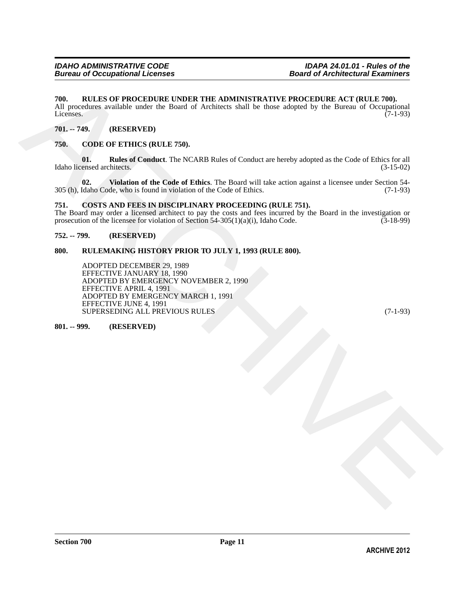#### <span id="page-10-0"></span>**700. RULES OF PROCEDURE UNDER THE ADMINISTRATIVE PROCEDURE ACT (RULE 700).**

All procedures available under the Board of Architects shall be those adopted by the Bureau of Occupational Licenses. (7-1-93) Licenses. (7-1-93)

#### <span id="page-10-1"></span>**701. -- 749. (RESERVED)**

#### <span id="page-10-7"></span><span id="page-10-2"></span>**750. CODE OF ETHICS (RULE 750).**

<span id="page-10-8"></span>**01. Rules of Conduct**. The NCARB Rules of Conduct are hereby adopted as the Code of Ethics for all ensed architects. (3-15-02) Idaho licensed architects.

<span id="page-10-9"></span>**02.** Violation of the Code of Ethics. The Board will take action against a licensee under Section 54-<br>Idaho Code, who is found in violation of the Code of Ethics. (7-1-93) 305 (h), Idaho Code, who is found in violation of the Code of Ethics.

#### <span id="page-10-10"></span><span id="page-10-3"></span>**751. COSTS AND FEES IN DISCIPLINARY PROCEEDING (RULE 751).**

The Board may order a licensed architect to pay the costs and fees incurred by the Board in the investigation or prosecution of the licensee for violation of Section 54-305(1)(a)(i), Idaho Code. (3-18-99) prosecution of the licensee for violation of Section  $54-305(1)(a)(i)$ , Idaho Code.

#### <span id="page-10-4"></span>**752. -- 799. (RESERVED)**

#### <span id="page-10-5"></span>**800. RULEMAKING HISTORY PRIOR TO JULY 1, 1993 (RULE 800).**

790. RULEN OF PROCEDURE I WORK THE ADMINISTRATIVE PROCEDURE ACT (RULE 700).<br>All procedures could<br>be more related and of Awaherec shall be done adopted by the fluence of Co-cappinal<br>Lines Sec. (2.449).<br>
The ARCHIVES CODE O ADOPTED DECEMBER 29, 1989 EFFECTIVE JANUARY 18, 1990 ADOPTED BY EMERGENCY NOVEMBER 2, 1990 EFFECTIVE APRIL 4, 1991 ADOPTED BY EMERGENCY MARCH 1, 1991 EFFECTIVE JUNE 4, 1991 SUPERSEDING ALL PREVIOUS RULES (7-1-93)

<span id="page-10-6"></span>**801. -- 999. (RESERVED)**